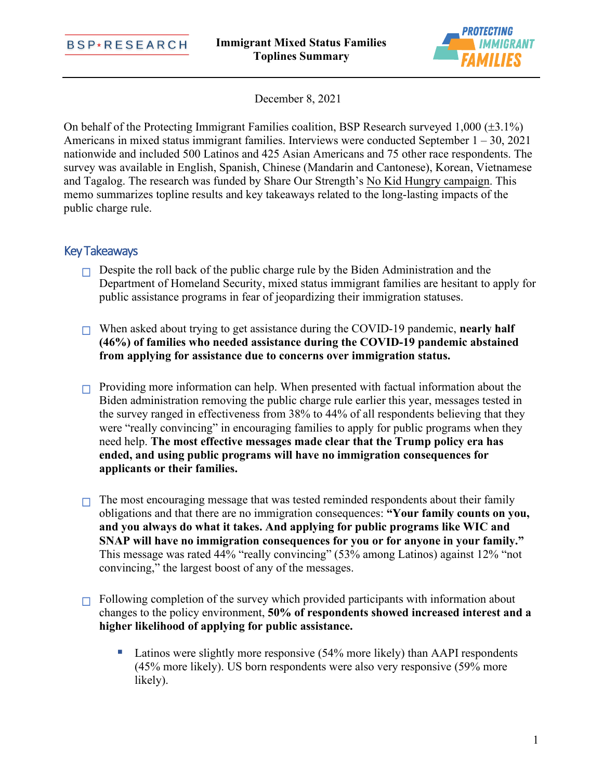

December 8, 2021

On behalf of the Protecting Immigrant Families coalition, BSP Research surveyed  $1,000 (\pm 3.1\%)$ Americans in mixed status immigrant families. Interviews were conducted September  $1 - 30$ , 2021 nationwide and included 500 Latinos and 425 Asian Americans and 75 other race respondents. The survey was available in English, Spanish, Chinese (Mandarin and Cantonese), Korean, Vietnamese and Tagalog. The research was funded by Share Our Strength'[s No Kid Hungry campaign](https://www.nokidhungry.org/). This memo summarizes topline results and key takeaways related to the long-lasting impacts of the public charge rule.

## Key Takeaways

- $\Box$  Despite the roll back of the public charge rule by the Biden Administration and the Department of Homeland Security, mixed status immigrant families are hesitant to apply for public assistance programs in fear of jeopardizing their immigration statuses.
- When asked about trying to get assistance during the COVID-19 pandemic, **nearly half (46%) of families who needed assistance during the COVID-19 pandemic abstained from applying for assistance due to concerns over immigration status.**
- $\Box$  Providing more information can help. When presented with factual information about the Biden administration removing the public charge rule earlier this year, messages tested in the survey ranged in effectiveness from 38% to 44% of all respondents believing that they were "really convincing" in encouraging families to apply for public programs when they need help. **The most effective messages made clear that the Trump policy era has ended, and using public programs will have no immigration consequences for applicants or their families.**
- $\Box$  The most encouraging message that was tested reminded respondents about their family obligations and that there are no immigration consequences: **"Your family counts on you, and you always do what it takes. And applying for public programs like WIC and SNAP will have no immigration consequences for you or for anyone in your family."** This message was rated 44% "really convincing" (53% among Latinos) against 12% "not convincing," the largest boost of any of the messages.
- Following completion of the survey which provided participants with information about changes to the policy environment, **50% of respondents showed increased interest and a higher likelihood of applying for public assistance.**
	- **Latinos were slightly more responsive (54% more likely) than AAPI respondents** (45% more likely). US born respondents were also very responsive (59% more likely).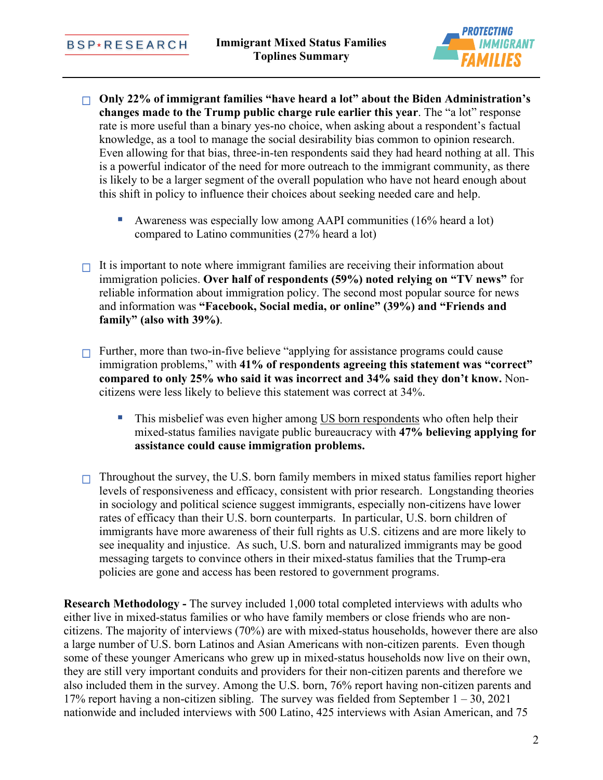

- **Only 22% of immigrant families "have heard a lot" about the Biden Administration's changes made to the Trump public charge rule earlier this year**. The "a lot" response rate is more useful than a binary yes-no choice, when asking about a respondent's factual knowledge, as a tool to manage the social desirability bias common to opinion research. Even allowing for that bias, three-in-ten respondents said they had heard nothing at all. This is a powerful indicator of the need for more outreach to the immigrant community, as there is likely to be a larger segment of the overall population who have not heard enough about this shift in policy to influence their choices about seeking needed care and help.
	- Awareness was especially low among AAPI communities (16% heard a lot) compared to Latino communities (27% heard a lot)
- $\Box$  It is important to note where immigrant families are receiving their information about immigration policies. **Over half of respondents (59%) noted relying on "TV news"** for reliable information about immigration policy. The second most popular source for news and information was **"Facebook, Social media, or online" (39%) and "Friends and family" (also with 39%)**.
- Further, more than two-in-five believe "applying for assistance programs could cause immigration problems," with **41% of respondents agreeing this statement was "correct" compared to only 25% who said it was incorrect and 34% said they don't know.** Noncitizens were less likely to believe this statement was correct at 34%.
	- This misbelief was even higher among US born respondents who often help their mixed-status families navigate public bureaucracy with **47% believing applying for assistance could cause immigration problems.**
- $\Box$  Throughout the survey, the U.S. born family members in mixed status families report higher levels of responsiveness and efficacy, consistent with prior research. Longstanding theories in sociology and political science suggest immigrants, especially non-citizens have lower rates of efficacy than their U.S. born counterparts. In particular, U.S. born children of immigrants have more awareness of their full rights as U.S. citizens and are more likely to see inequality and injustice. As such, U.S. born and naturalized immigrants may be good messaging targets to convince others in their mixed-status families that the Trump-era policies are gone and access has been restored to government programs.

**Research Methodology -** The survey included 1,000 total completed interviews with adults who either live in mixed-status families or who have family members or close friends who are noncitizens. The majority of interviews (70%) are with mixed-status households, however there are also a large number of U.S. born Latinos and Asian Americans with non-citizen parents. Even though some of these younger Americans who grew up in mixed-status households now live on their own, they are still very important conduits and providers for their non-citizen parents and therefore we also included them in the survey. Among the U.S. born, 76% report having non-citizen parents and 17% report having a non-citizen sibling. The survey was fielded from September  $1 - 30$ , 2021 nationwide and included interviews with 500 Latino, 425 interviews with Asian American, and 75